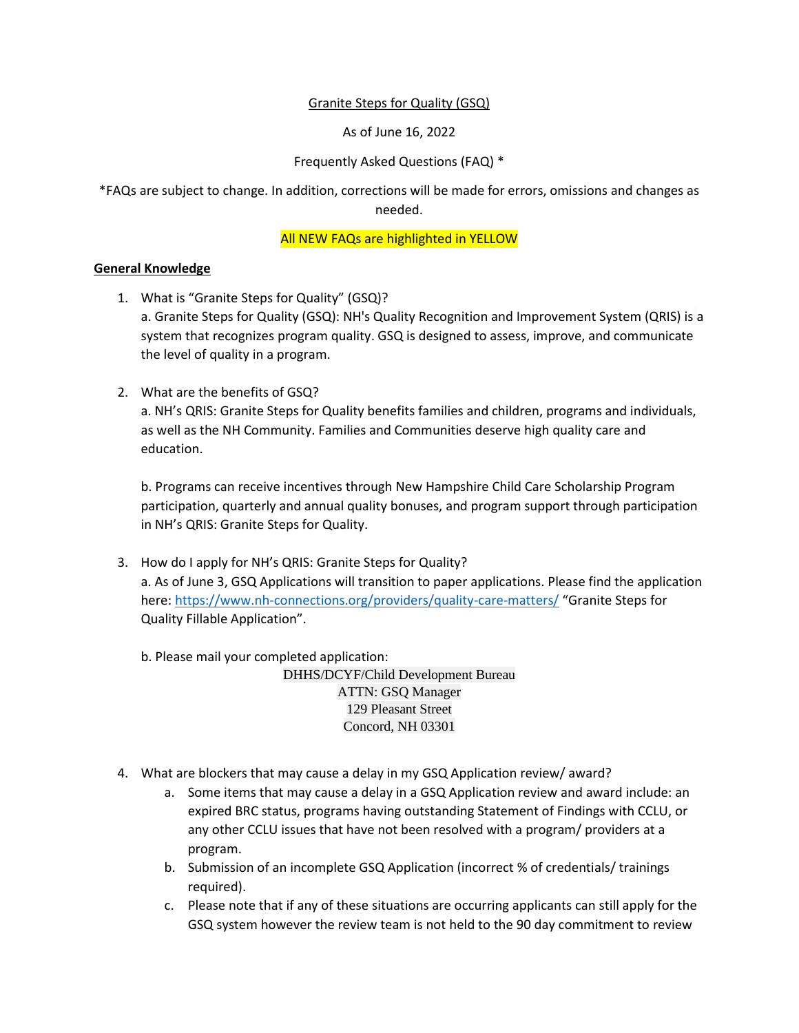#### Granite Steps for Quality (GSQ)

As of June 16, 2022

### Frequently Asked Questions (FAQ) \*

\*FAQs are subject to change. In addition, corrections will be made for errors, omissions and changes as needed.

#### All NEW FAQs are highlighted in YELLOW

#### **General Knowledge**

- 1. What is "Granite Steps for Quality" (GSQ)? a. Granite Steps for Quality (GSQ): NH's Quality Recognition and Improvement System (QRIS) is a system that recognizes program quality. GSQ is designed to assess, improve, and communicate the level of quality in a program.
- 2. What are the benefits of GSQ?

a. NH's QRIS: Granite Steps for Quality benefits families and children, programs and individuals, as well as the NH Community. Families and Communities deserve high quality care and education.

b. Programs can receive incentives through New Hampshire Child Care Scholarship Program participation, quarterly and annual quality bonuses, and program support through participation in NH's QRIS: Granite Steps for Quality.

3. How do I apply for NH's QRIS: Granite Steps for Quality? a. As of June 3, GSQ Applications will transition to paper applications. Please find the application here:<https://www.nh-connections.org/providers/quality-care-matters/> "Granite Steps for Quality Fillable Application".

b. Please mail your completed application:

DHHS/DCYF/Child Development Bureau ATTN: GSQ Manager 129 Pleasant Street Concord, NH 03301

- 4. What are blockers that may cause a delay in my GSQ Application review/ award?
	- a. Some items that may cause a delay in a GSQ Application review and award include: an expired BRC status, programs having outstanding Statement of Findings with CCLU, or any other CCLU issues that have not been resolved with a program/ providers at a program.
	- b. Submission of an incomplete GSQ Application (incorrect % of credentials/ trainings required).
	- c. Please note that if any of these situations are occurring applicants can still apply for the GSQ system however the review team is not held to the 90 day commitment to review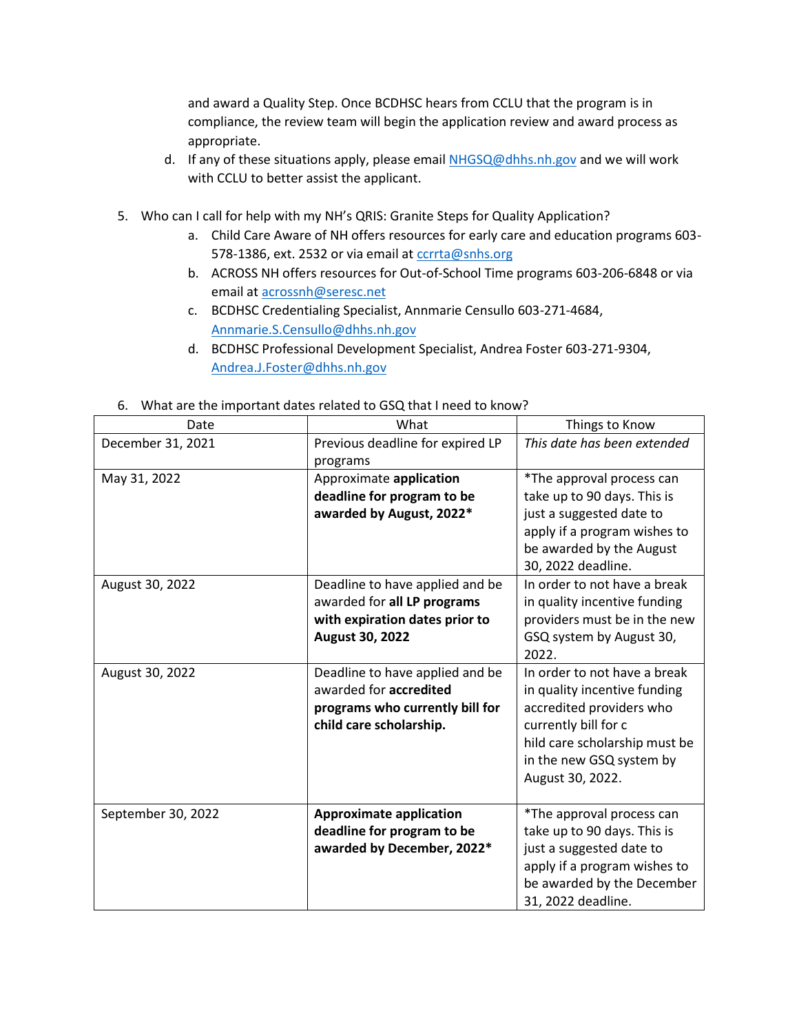and award a Quality Step. Once BCDHSC hears from CCLU that the program is in compliance, the review team will begin the application review and award process as appropriate.

- d. If any of these situations apply, please email [NHGSQ@dhhs.nh.gov](mailto:NHGSQ@dhhs.nh.gov) and we will work with CCLU to better assist the applicant.
- 5. Who can I call for help with my NH's QRIS: Granite Steps for Quality Application?
	- a. Child Care Aware of NH offers resources for early care and education programs 603- 578-1386, ext. 2532 or via email at [ccrrta@snhs.org](mailto:ccrrta@snhs.org)
	- b. ACROSS NH offers resources for Out-of-School Time programs 603-206-6848 or via email a[t acrossnh@seresc.net](mailto:acrossnh@seresc.net)
	- c. BCDHSC Credentialing Specialist, Annmarie Censullo 603-271-4684, [Annmarie.S.Censullo@dhhs.nh.gov](mailto:Annmarie.S.Censullo@dhhs.nh.gov)
	- d. BCDHSC Professional Development Specialist, Andrea Foster 603-271-9304, [Andrea.J.Foster@dhhs.nh.gov](mailto:Andrea.J.Foster@dhhs.nh.gov)

| Date               | What                                                                                                                    | Things to Know                                                                                                                                                                                    |
|--------------------|-------------------------------------------------------------------------------------------------------------------------|---------------------------------------------------------------------------------------------------------------------------------------------------------------------------------------------------|
| December 31, 2021  | Previous deadline for expired LP<br>programs                                                                            | This date has been extended                                                                                                                                                                       |
| May 31, 2022       | Approximate application<br>deadline for program to be<br>awarded by August, 2022*                                       | *The approval process can<br>take up to 90 days. This is<br>just a suggested date to<br>apply if a program wishes to<br>be awarded by the August<br>30, 2022 deadline.                            |
| August 30, 2022    | Deadline to have applied and be<br>awarded for all LP programs<br>with expiration dates prior to<br>August 30, 2022     | In order to not have a break<br>in quality incentive funding<br>providers must be in the new<br>GSQ system by August 30,<br>2022.                                                                 |
| August 30, 2022    | Deadline to have applied and be<br>awarded for accredited<br>programs who currently bill for<br>child care scholarship. | In order to not have a break<br>in quality incentive funding<br>accredited providers who<br>currently bill for c<br>hild care scholarship must be<br>in the new GSQ system by<br>August 30, 2022. |
| September 30, 2022 | <b>Approximate application</b><br>deadline for program to be<br>awarded by December, 2022*                              | *The approval process can<br>take up to 90 days. This is<br>just a suggested date to<br>apply if a program wishes to<br>be awarded by the December<br>31, 2022 deadline.                          |

#### 6. What are the important dates related to GSQ that I need to know?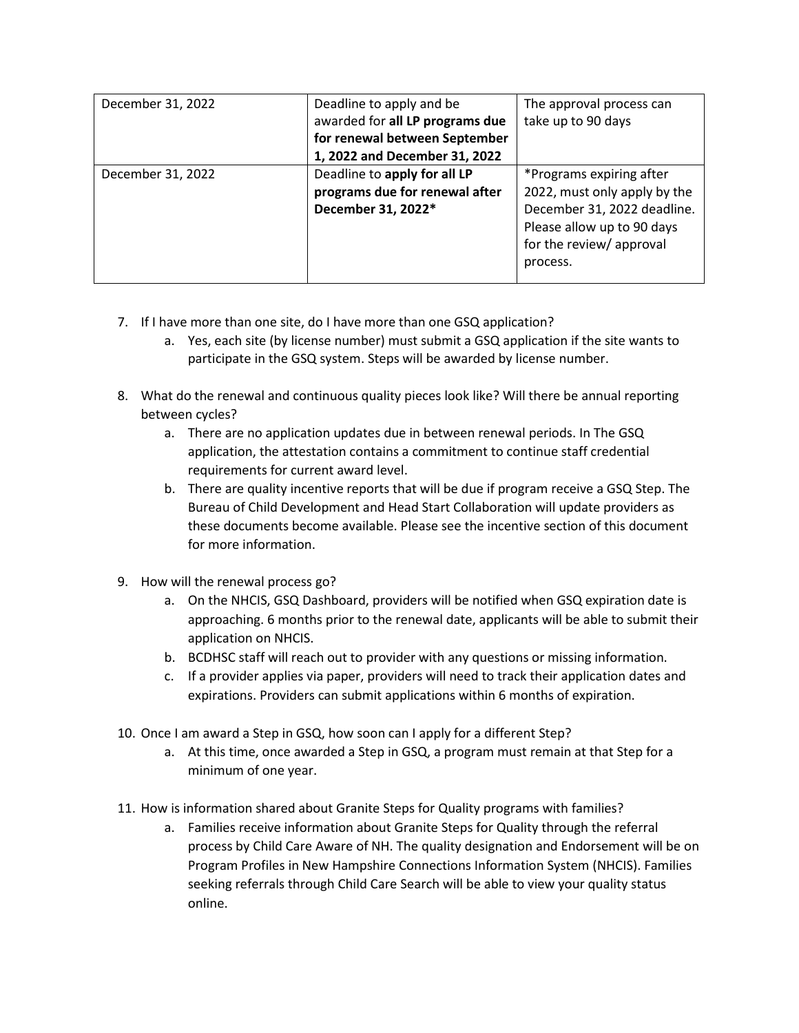| December 31, 2022 | Deadline to apply and be        | The approval process can     |
|-------------------|---------------------------------|------------------------------|
|                   | awarded for all LP programs due | take up to 90 days           |
|                   | for renewal between September   |                              |
|                   | 1, 2022 and December 31, 2022   |                              |
| December 31, 2022 | Deadline to apply for all LP    | *Programs expiring after     |
|                   | programs due for renewal after  | 2022, must only apply by the |
|                   | December 31, 2022*              | December 31, 2022 deadline.  |
|                   |                                 | Please allow up to 90 days   |
|                   |                                 | for the review/approval      |
|                   |                                 | process.                     |
|                   |                                 |                              |

- 7. If I have more than one site, do I have more than one GSQ application?
	- a. Yes, each site (by license number) must submit a GSQ application if the site wants to participate in the GSQ system. Steps will be awarded by license number.
- 8. What do the renewal and continuous quality pieces look like? Will there be annual reporting between cycles?
	- a. There are no application updates due in between renewal periods. In The GSQ application, the attestation contains a commitment to continue staff credential requirements for current award level.
	- b. There are quality incentive reports that will be due if program receive a GSQ Step. The Bureau of Child Development and Head Start Collaboration will update providers as these documents become available. Please see the incentive section of this document for more information.
- 9. How will the renewal process go?
	- a. On the NHCIS, GSQ Dashboard, providers will be notified when GSQ expiration date is approaching. 6 months prior to the renewal date, applicants will be able to submit their application on NHCIS.
	- b. BCDHSC staff will reach out to provider with any questions or missing information.
	- c. If a provider applies via paper, providers will need to track their application dates and expirations. Providers can submit applications within 6 months of expiration.
- 10. Once I am award a Step in GSQ, how soon can I apply for a different Step?
	- a. At this time, once awarded a Step in GSQ, a program must remain at that Step for a minimum of one year.
- 11. How is information shared about Granite Steps for Quality programs with families?
	- a. Families receive information about Granite Steps for Quality through the referral process by Child Care Aware of NH. The quality designation and Endorsement will be on Program Profiles in New Hampshire Connections Information System (NHCIS). Families seeking referrals through Child Care Search will be able to view your quality status online.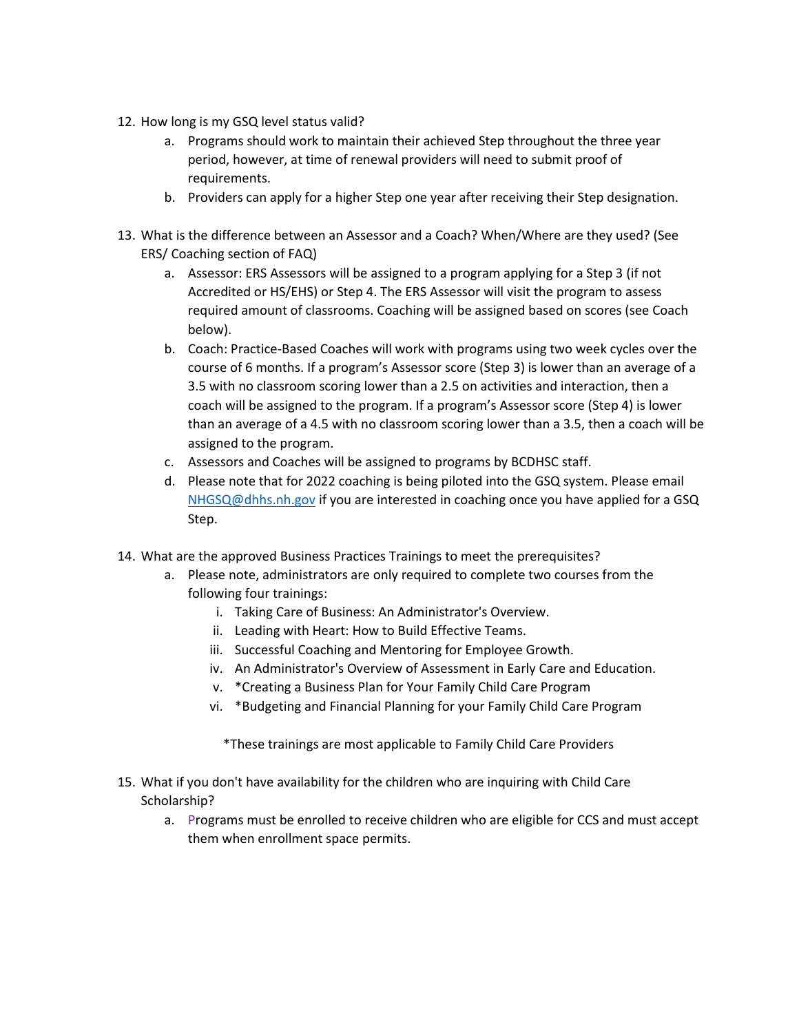- 12. How long is my GSQ level status valid?
	- a. Programs should work to maintain their achieved Step throughout the three year period, however, at time of renewal providers will need to submit proof of requirements.
	- b. Providers can apply for a higher Step one year after receiving their Step designation.
- 13. What is the difference between an Assessor and a Coach? When/Where are they used? (See ERS/ Coaching section of FAQ)
	- a. Assessor: ERS Assessors will be assigned to a program applying for a Step 3 (if not Accredited or HS/EHS) or Step 4. The ERS Assessor will visit the program to assess required amount of classrooms. Coaching will be assigned based on scores (see Coach below).
	- b. Coach: Practice-Based Coaches will work with programs using two week cycles over the course of 6 months. If a program's Assessor score (Step 3) is lower than an average of a 3.5 with no classroom scoring lower than a 2.5 on activities and interaction, then a coach will be assigned to the program. If a program's Assessor score (Step 4) is lower than an average of a 4.5 with no classroom scoring lower than a 3.5, then a coach will be assigned to the program.
	- c. Assessors and Coaches will be assigned to programs by BCDHSC staff.
	- d. Please note that for 2022 coaching is being piloted into the GSQ system. Please email [NHGSQ@dhhs.nh.gov](mailto:NHGSQ@dhhs.nh.gov) if you are interested in coaching once you have applied for a GSQ Step.
- 14. What are the approved Business Practices Trainings to meet the prerequisites?
	- a. Please note, administrators are only required to complete two courses from the following four trainings:
		- i. Taking Care of Business: An Administrator's Overview.
		- ii. Leading with Heart: How to Build Effective Teams.
		- iii. Successful Coaching and Mentoring for Employee Growth.
		- iv. An Administrator's Overview of Assessment in Early Care and Education.
		- v. \*Creating a Business Plan for Your Family Child Care Program
		- vi. \*Budgeting and Financial Planning for your Family Child Care Program

\*These trainings are most applicable to Family Child Care Providers

- 15. What if you don't have availability for the children who are inquiring with Child Care Scholarship?
	- a. Programs must be enrolled to receive children who are eligible for CCS and must accept them when enrollment space permits.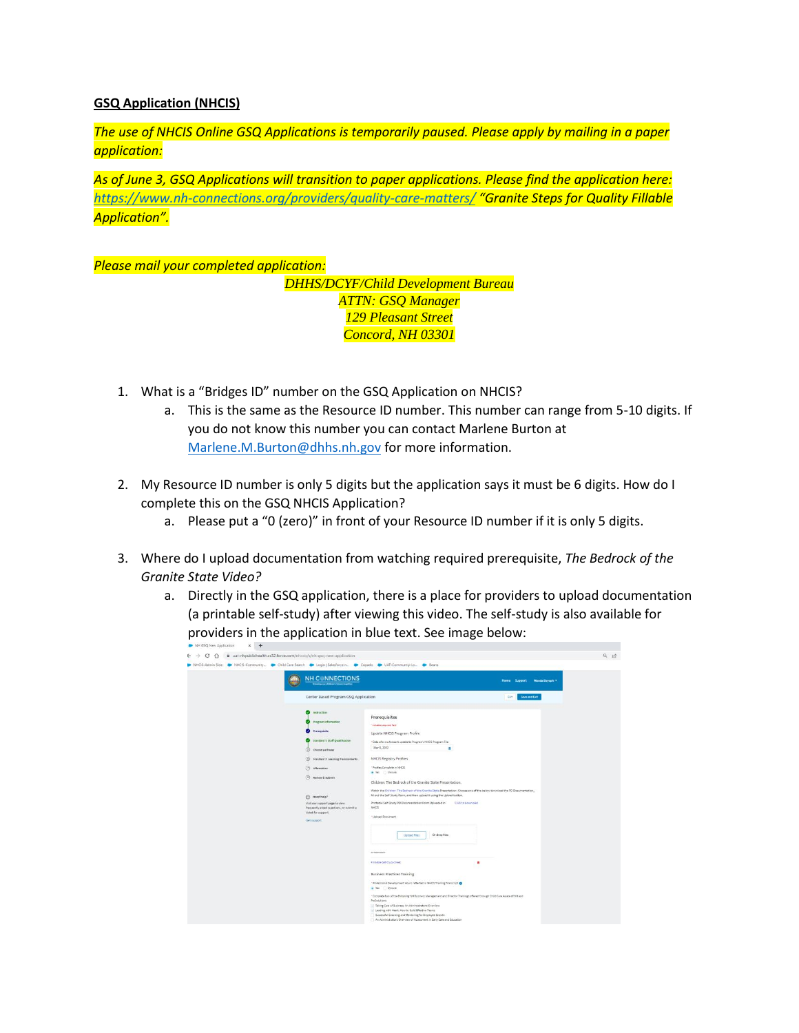### **GSQ Application (NHCIS)**

*The use of NHCIS Online GSQ Applications is temporarily paused. Please apply by mailing in a paper application:*

*As of June 3, GSQ Applications will transition to paper applications. Please find the application here: <https://www.nh-connections.org/providers/quality-care-matters/> "Granite Steps for Quality Fillable Application".* 

*Please mail your completed application:* 

*DHHS/DCYF/Child Development Bureau ATTN: GSQ Manager 129 Pleasant Street Concord, NH 03301*

- 1. What is a "Bridges ID" number on the GSQ Application on NHCIS?
	- a. This is the same as the Resource ID number. This number can range from 5-10 digits. If you do not know this number you can contact Marlene Burton at [Marlene.M.Burton@dhhs.nh.gov](mailto:Marlene.M.Burton@dhhs.nh.gov) for more information.
- 2. My Resource ID number is only 5 digits but the application says it must be 6 digits. How do I complete this on the GSQ NHCIS Application?
	- a. Please put a "0 (zero)" in front of your Resource ID number if it is only 5 digits.
- 3. Where do I upload documentation from watching required prerequisite, *The Bedrock of the Granite State Video?*
	- a. Directly in the GSQ application, there is a place for providers to upload documentation (a printable self-study) after viewing this video. The self-study is also available for providers in the application in blue text. See image below:

| NHCIS-Admin Side > NHCIS-Community > Child Care Search > Login   Salesforce-n D Copado > UAT-Communtly-Lo D Beans |                                                                                                                                                                                                                                                      |                                                                                                                                                                                                                                                                                                                                                                                                                                                                                                                                                                               |                                                             |  |
|-------------------------------------------------------------------------------------------------------------------|------------------------------------------------------------------------------------------------------------------------------------------------------------------------------------------------------------------------------------------------------|-------------------------------------------------------------------------------------------------------------------------------------------------------------------------------------------------------------------------------------------------------------------------------------------------------------------------------------------------------------------------------------------------------------------------------------------------------------------------------------------------------------------------------------------------------------------------------|-------------------------------------------------------------|--|
|                                                                                                                   | <b>NH CONNECTIONS</b><br>Center Based Program GSQ Application<br>o<br>Instruction<br>v.<br>Program information<br><b>O</b> Prerequisite<br>Standard t. Staff Qualification                                                                           | Prerequisites<br><b>Indicates required full</b><br>Update NHCIS Program Profile<br>"Data of a most recent update to Programs NHCIS Program File<br>Mar 9, 2022                                                                                                                                                                                                                                                                                                                                                                                                                | Home Support Winda Dayoph =<br><b>Save and Exit</b><br>Exit |  |
|                                                                                                                   | (5) choose pathway<br>(6) Standard 2: Learning Environments<br>(7) affirmation<br>(0) mexique & submit<br><sup>2</sup> Need help?<br>Visit our support page to view<br>frequently asked questions, or submit a<br>ticket for support.<br>Get nipport | $\blacksquare$<br>NHCIS Registry Profiles<br>* Profiles Complete in NHCIS<br>. No Dinguns<br>Children: The Bedrock of the Granite State Presentation.<br>Watch the Children. The Bedrock of the Granite State Presentation. Choose one of the below download the PD Documentation,<br>fill out the Self Study Form, and then upload it using the Upload button.<br>Printable Self-Study PD Documentation Form Uploaded in<br>Click to download<br>teics<br>* Upload Document<br>Or drop files<br><b>Upload Files</b>                                                          |                                                             |  |
|                                                                                                                   |                                                                                                                                                                                                                                                      | APPARAINANT<br>. Amsable cell cruck-cheer.<br>A<br><b>Business Practices Training</b><br>* Professional Development Hours reflected in NHCIS Training Transcript<br>. Nes Dimoure<br>"Complete two of the following NH Business Management and Director Trainings offered through Child Care Aware of NH and<br>ProSolutions<br>- Taking Care of Business-An Administrator's Overview<br>- Leading with Heart. How to Build Effective Teams<br>Successful Coaching and Mentoring for Employee Growth<br>An Administrator's Overview of Assessment in Early Care and Education |                                                             |  |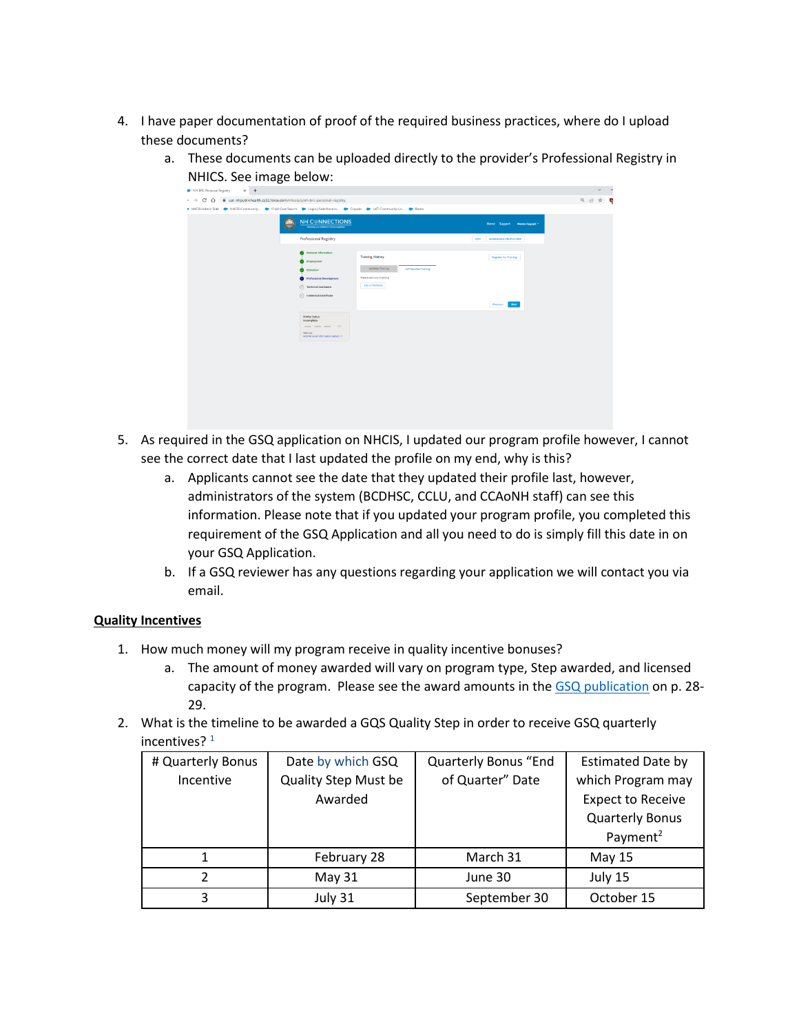4. I have paper documentation of proof of the required business practices, where do I upload these documents?

 $\sim$  . We<br>interfacing  $\sim$ 

NHICS. See image below:  $x +$  $\rightarrow$  C  $\hat{\Omega}$   $\hat{\mathbf{a}}$  ust-nl  $Q \nleftrightarrow \nabla$  $\overline{c}$ NH C NNECTIO

Next.

a. These documents can be uploaded directly to the provider's Professional Registry in

- 5. As required in the GSQ application on NHCIS, I updated our program profile however, I cannot see the correct date that I last updated the profile on my end, why is this?
	- a. Applicants cannot see the date that they updated their profile last, however, administrators of the system (BCDHSC, CCLU, and CCAoNH staff) can see this information. Please note that if you updated your program profile, you completed this requirement of the GSQ Application and all you need to do is simply fill this date in on your GSQ Application.
	- b. If a GSQ reviewer has any questions regarding your application we will contact you via email.

## **Quality Incentives**

- 1. How much money will my program receive in quality incentive bonuses?
	- a. The amount of money awarded will vary on program type, Step awarded, and licensed capacity of the program. Please see the award amounts in th[e GSQ publication](https://www.nh-connections.org/uploads/GSQ-Guide.pdf) on p. 28- 29.
- 2. What is the timeline to be awarded a GQS Quality Step in order to receive GSQ quarterly incentives? $1$

| # Quarterly Bonus | Date by which GSQ           | <b>Quarterly Bonus "End</b> | <b>Estimated Date by</b> |
|-------------------|-----------------------------|-----------------------------|--------------------------|
| Incentive         | <b>Quality Step Must be</b> | of Quarter" Date            | which Program may        |
|                   | Awarded                     |                             | <b>Expect to Receive</b> |
|                   |                             |                             | <b>Quarterly Bonus</b>   |
|                   |                             |                             | Payment <sup>2</sup>     |
|                   | February 28                 | March 31                    | May 15                   |
| 2                 | May 31                      | June 30                     | July 15                  |
| 3                 | July 31                     | September 30                | October 15               |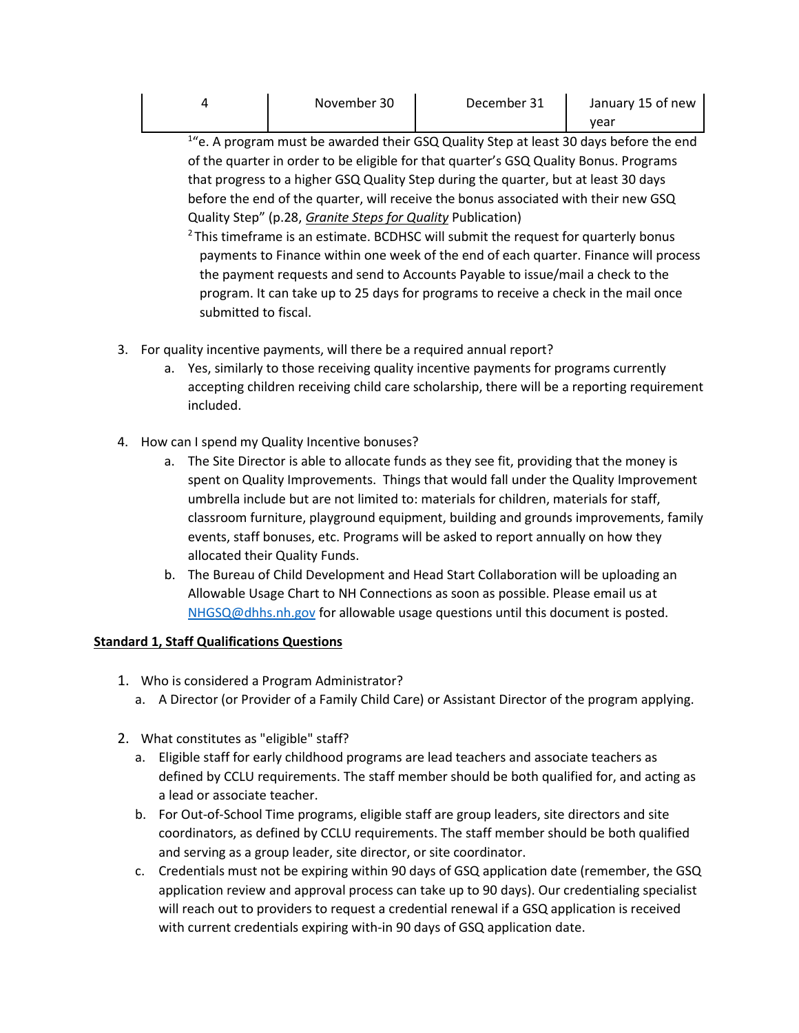| November 30 | December 31 | January 15 of new |
|-------------|-------------|-------------------|
|             |             | vear              |

<sup>1</sup>"e. A program must be awarded their GSQ Quality Step at least 30 days before the end of the quarter in order to be eligible for that quarter's GSQ Quality Bonus. Programs that progress to a higher GSQ Quality Step during the quarter, but at least 30 days before the end of the quarter, will receive the bonus associated with their new GSQ Quality Step" (p.28, *[Granite Steps for Quality](https://www.nh-connections.org/uploads/GSQ-Guide.pdf)* Publication)

 $2$ This timeframe is an estimate. BCDHSC will submit the request for quarterly bonus payments to Finance within one week of the end of each quarter. Finance will process the payment requests and send to Accounts Payable to issue/mail a check to the program. It can take up to 25 days for programs to receive a check in the mail once submitted to fiscal.

- 3. For quality incentive payments, will there be a required annual report?
	- a. Yes, similarly to those receiving quality incentive payments for programs currently accepting children receiving child care scholarship, there will be a reporting requirement included.
- 4. How can I spend my Quality Incentive bonuses?
	- a. The Site Director is able to allocate funds as they see fit, providing that the money is spent on Quality Improvements. Things that would fall under the Quality Improvement umbrella include but are not limited to: materials for children, materials for staff, classroom furniture, playground equipment, building and grounds improvements, family events, staff bonuses, etc. Programs will be asked to report annually on how they allocated their Quality Funds.
	- b. The Bureau of Child Development and Head Start Collaboration will be uploading an Allowable Usage Chart to NH Connections as soon as possible. Please email us at [NHGSQ@dhhs.nh.gov](mailto:NHGSQ@dhhs.nh.gov) for allowable usage questions until this document is posted.

## **Standard 1, Staff Qualifications Questions**

- 1. Who is considered a Program Administrator?
	- a. A Director (or Provider of a Family Child Care) or Assistant Director of the program applying.
- 2. What constitutes as "eligible" staff?
	- a. Eligible staff for early childhood programs are lead teachers and associate teachers as defined by CCLU requirements. The staff member should be both qualified for, and acting as a lead or associate teacher.
	- b. For Out-of-School Time programs, eligible staff are group leaders, site directors and site coordinators, as defined by CCLU requirements. The staff member should be both qualified and serving as a group leader, site director, or site coordinator.
	- c. Credentials must not be expiring within 90 days of GSQ application date (remember, the GSQ application review and approval process can take up to 90 days). Our credentialing specialist will reach out to providers to request a credential renewal if a GSQ application is received with current credentials expiring with-in 90 days of GSQ application date.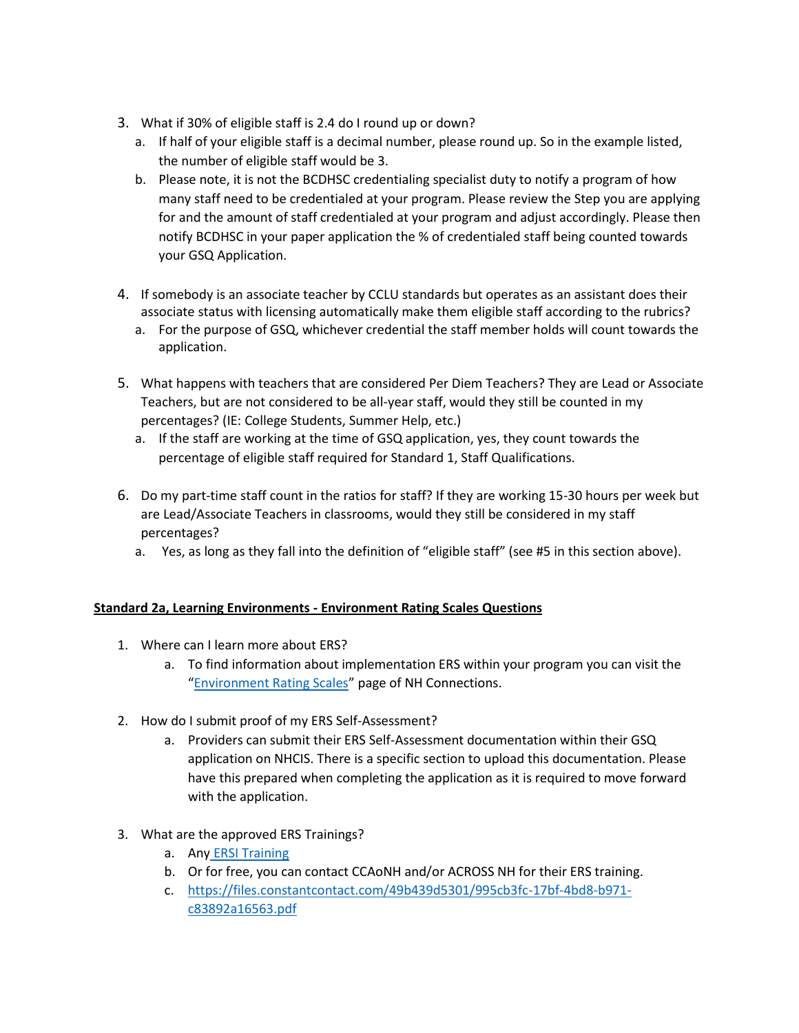- 3. What if 30% of eligible staff is 2.4 do I round up or down?
	- a. If half of your eligible staff is a decimal number, please round up. So in the example listed, the number of eligible staff would be 3.
	- b. Please note, it is not the BCDHSC credentialing specialist duty to notify a program of how many staff need to be credentialed at your program. Please review the Step you are applying for and the amount of staff credentialed at your program and adjust accordingly. Please then notify BCDHSC in your paper application the % of credentialed staff being counted towards your GSQ Application.
- 4. If somebody is an associate teacher by CCLU standards but operates as an assistant does their associate status with licensing automatically make them eligible staff according to the rubrics?
	- a. For the purpose of GSQ, whichever credential the staff member holds will count towards the application.
- 5. What happens with teachers that are considered Per Diem Teachers? They are Lead or Associate Teachers, but are not considered to be all-year staff, would they still be counted in my percentages? (IE: College Students, Summer Help, etc.)
	- a. If the staff are working at the time of GSQ application, yes, they count towards the percentage of eligible staff required for Standard 1, Staff Qualifications.
- 6. Do my part-time staff count in the ratios for staff? If they are working 15-30 hours per week but are Lead/Associate Teachers in classrooms, would they still be considered in my staff percentages?
	- a. Yes, as long as they fall into the definition of "eligible staff" (see #5 in this section above).

## **Standard 2a, Learning Environments - Environment Rating Scales Questions**

- 1. Where can I learn more about ERS?
	- a. To find information about implementation ERS within your program you can visit the "[Environment Rating Scales](https://www.nh-connections.org/environment-rating-scales/)" page of NH Connections.
- 2. How do I submit proof of my ERS Self-Assessment?
	- a. Providers can submit their ERS Self-Assessment documentation within their GSQ application on NHCIS. There is a specific section to upload this documentation. Please have this prepared when completing the application as it is required to move forward with the application.
- 3. What are the approved ERS Trainings?
	- a. Any [ERSI Training](https://ersi.info/training_online_staff.html)
	- b. Or for free, you can contact CCAoNH and/or ACROSS NH for their ERS training.
	- c. [https://files.constantcontact.com/49b439d5301/995cb3fc-17bf-4bd8-b971](https://files.constantcontact.com/49b439d5301/995cb3fc-17bf-4bd8-b971-c83892a16563.pdf) [c83892a16563.pdf](https://files.constantcontact.com/49b439d5301/995cb3fc-17bf-4bd8-b971-c83892a16563.pdf)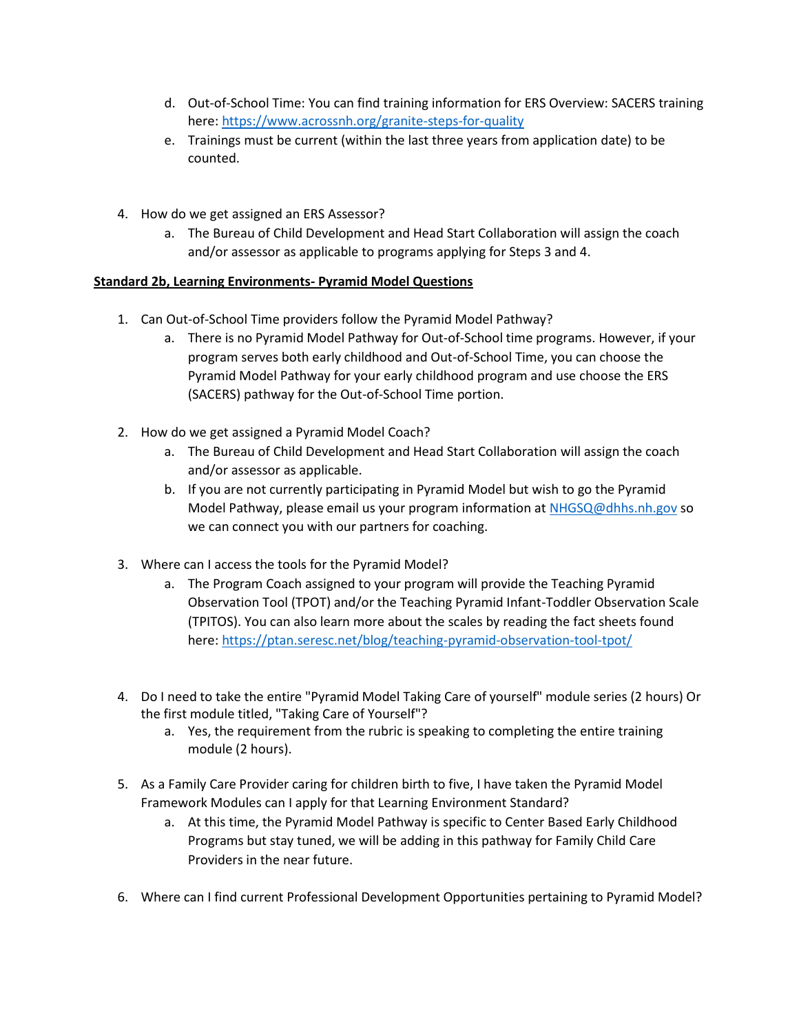- d. Out-of-School Time: You can find training information for ERS Overview: SACERS training here: [https://www.acrossnh.org/granite-steps-for-quality](https://urldefense.com/v3/__https:/www.acrossnh.org/granite-steps-for-quality__;!!Oai6dtTQULp8Sw!XS7AkPa1XaCWmQGa7_CVPNtZ2JVAmKtzfTij1PRHtEuwiffBwezvvyNV5AbEKDQppLcnZG1tW02vn8co6uxvDLwByWO6$)
- e. Trainings must be current (within the last three years from application date) to be counted.
- 4. How do we get assigned an ERS Assessor?
	- a. The Bureau of Child Development and Head Start Collaboration will assign the coach and/or assessor as applicable to programs applying for Steps 3 and 4.

## **Standard 2b, Learning Environments- Pyramid Model Questions**

- 1. Can Out-of-School Time providers follow the Pyramid Model Pathway?
	- a. There is no Pyramid Model Pathway for Out-of-School time programs. However, if your program serves both early childhood and Out-of-School Time, you can choose the Pyramid Model Pathway for your early childhood program and use choose the ERS (SACERS) pathway for the Out-of-School Time portion.
- 2. How do we get assigned a Pyramid Model Coach?
	- a. The Bureau of Child Development and Head Start Collaboration will assign the coach and/or assessor as applicable.
	- b. If you are not currently participating in Pyramid Model but wish to go the Pyramid Model Pathway, please email us your program information at [NHGSQ@dhhs.nh.gov](mailto:NHGSQ@dhhs.nh.gov) so we can connect you with our partners for coaching.
- 3. Where can I access the tools for the Pyramid Model?
	- a. The Program Coach assigned to your program will provide the Teaching Pyramid Observation Tool (TPOT) and/or the Teaching Pyramid Infant-Toddler Observation Scale (TPITOS). You can also learn more about the scales by reading the fact sheets found here:<https://ptan.seresc.net/blog/teaching-pyramid-observation-tool-tpot/>
- 4. Do I need to take the entire "Pyramid Model Taking Care of yourself" module series (2 hours) Or the first module titled, "Taking Care of Yourself"?
	- a. Yes, the requirement from the rubric is speaking to completing the entire training module (2 hours).
- 5. As a Family Care Provider caring for children birth to five, I have taken the Pyramid Model Framework Modules can I apply for that Learning Environment Standard?
	- a. At this time, the Pyramid Model Pathway is specific to Center Based Early Childhood Programs but stay tuned, we will be adding in this pathway for Family Child Care Providers in the near future.
- 6. Where can I find current Professional Development Opportunities pertaining to Pyramid Model?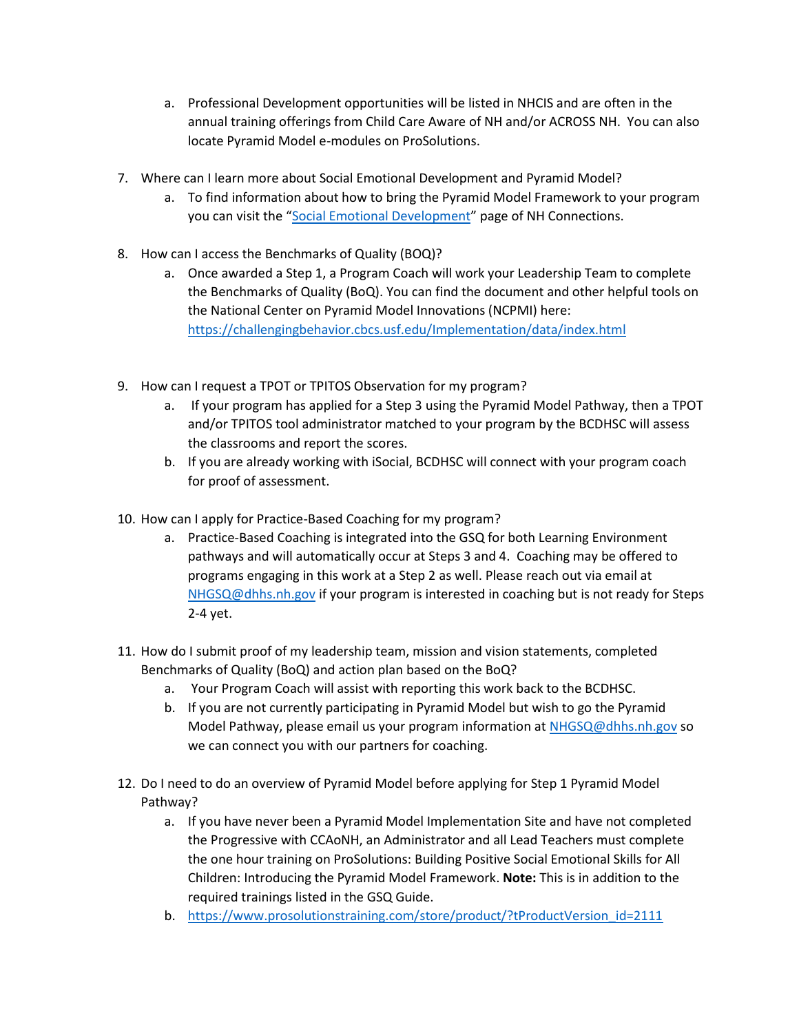- a. Professional Development opportunities will be listed in NHCIS and are often in the annual training offerings from Child Care Aware of NH and/or ACROSS NH. You can also locate Pyramid Model e-modules on ProSolutions.
- 7. Where can I learn more about Social Emotional Development and Pyramid Model?
	- a. To find information about how to bring the Pyramid Model Framework to your program you can visit the "[Social Emotional Development](https://www.nh-connections.org/social-emotional-development/)" page of NH Connections.
- 8. How can I access the Benchmarks of Quality (BOQ)?
	- a. Once awarded a Step 1, a Program Coach will work your Leadership Team to complete the Benchmarks of Quality (BoQ). You can find the document and other helpful tools on the National Center on Pyramid Model Innovations (NCPMI) here: <https://challengingbehavior.cbcs.usf.edu/Implementation/data/index.html>
- 9. How can I request a TPOT or TPITOS Observation for my program?
	- a. If your program has applied for a Step 3 using the Pyramid Model Pathway, then a TPOT and/or TPITOS tool administrator matched to your program by the BCDHSC will assess the classrooms and report the scores.
	- b. If you are already working with iSocial, BCDHSC will connect with your program coach for proof of assessment.
- 10. How can I apply for Practice-Based Coaching for my program?
	- a. Practice-Based Coaching is integrated into the GSQ for both Learning Environment pathways and will automatically occur at Steps 3 and 4. Coaching may be offered to programs engaging in this work at a Step 2 as well. Please reach out via email at [NHGSQ@dhhs.nh.gov](mailto:NHGSQ@dhhs.nh.gov) if your program is interested in coaching but is not ready for Steps 2-4 yet.
- 11. How do I submit proof of my leadership team, mission and vision statements, completed Benchmarks of Quality (BoQ) and action plan based on the BoQ?
	- a. Your Program Coach will assist with reporting this work back to the BCDHSC.
	- b. If you are not currently participating in Pyramid Model but wish to go the Pyramid Model Pathway, please email us your program information at [NHGSQ@dhhs.nh.gov](mailto:NHGSQ@dhhs.nh.gov) so we can connect you with our partners for coaching.
- 12. Do I need to do an overview of Pyramid Model before applying for Step 1 Pyramid Model Pathway?
	- a. If you have never been a Pyramid Model Implementation Site and have not completed the Progressive with CCAoNH, an Administrator and all Lead Teachers must complete the one hour training on ProSolutions: Building Positive Social Emotional Skills for All Children: Introducing the Pyramid Model Framework. **Note:** This is in addition to the required trainings listed in the GSQ Guide.
	- b. [https://www.prosolutionstraining.com/store/product/?tProductVersion\\_id=2111](https://www.prosolutionstraining.com/store/product/?tProductVersion_id=2111)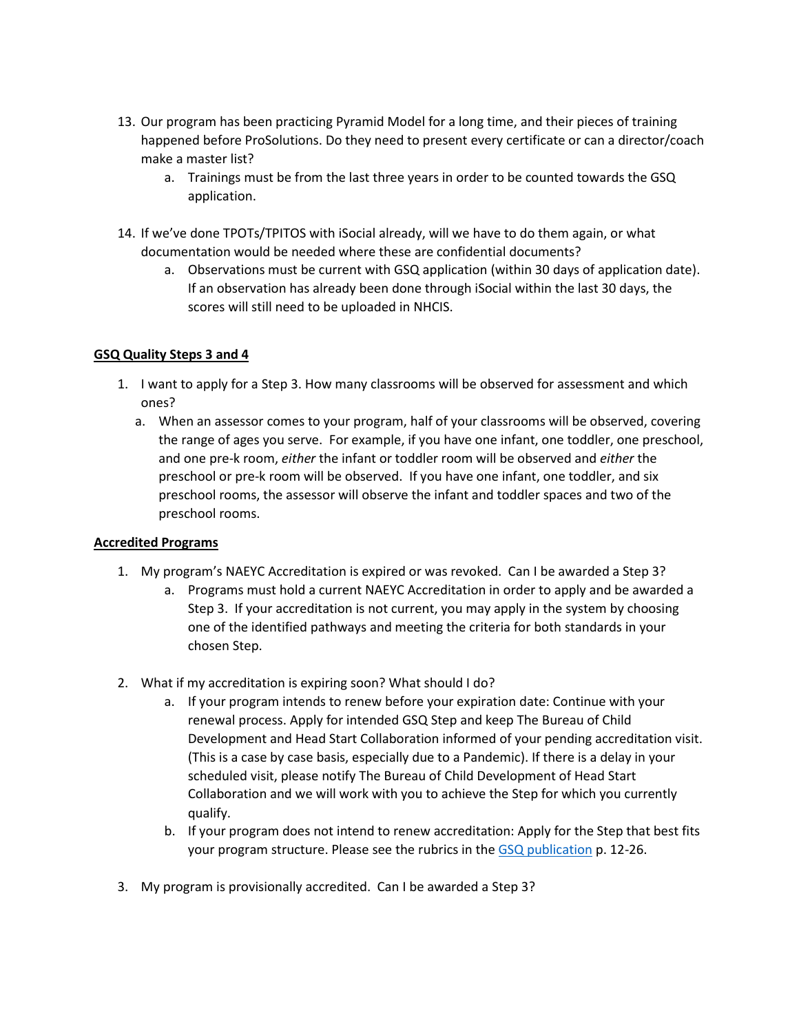- 13. Our program has been practicing Pyramid Model for a long time, and their pieces of training happened before ProSolutions. Do they need to present every certificate or can a director/coach make a master list?
	- a. Trainings must be from the last three years in order to be counted towards the GSQ application.
- 14. If we've done TPOTs/TPITOS with iSocial already, will we have to do them again, or what documentation would be needed where these are confidential documents?
	- a. Observations must be current with GSQ application (within 30 days of application date). If an observation has already been done through iSocial within the last 30 days, the scores will still need to be uploaded in NHCIS.

#### **GSQ Quality Steps 3 and 4**

- 1. I want to apply for a Step 3. How many classrooms will be observed for assessment and which ones?
	- a. When an assessor comes to your program, half of your classrooms will be observed, covering the range of ages you serve. For example, if you have one infant, one toddler, one preschool, and one pre-k room, *either* the infant or toddler room will be observed and *either* the preschool or pre-k room will be observed. If you have one infant, one toddler, and six preschool rooms, the assessor will observe the infant and toddler spaces and two of the preschool rooms.

#### **Accredited Programs**

- 1. My program's NAEYC Accreditation is expired or was revoked. Can I be awarded a Step 3?
	- a. Programs must hold a current NAEYC Accreditation in order to apply and be awarded a Step 3. If your accreditation is not current, you may apply in the system by choosing one of the identified pathways and meeting the criteria for both standards in your chosen Step.
- 2. What if my accreditation is expiring soon? What should I do?
	- a. If your program intends to renew before your expiration date: Continue with your renewal process. Apply for intended GSQ Step and keep The Bureau of Child Development and Head Start Collaboration informed of your pending accreditation visit. (This is a case by case basis, especially due to a Pandemic). If there is a delay in your scheduled visit, please notify The Bureau of Child Development of Head Start Collaboration and we will work with you to achieve the Step for which you currently qualify.
	- b. If your program does not intend to renew accreditation: Apply for the Step that best fits your program structure. Please see the rubrics in the [GSQ publication](https://www.nh-connections.org/uploads/GSQ-Guide.pdf) p. 12-26.
- 3. My program is provisionally accredited. Can I be awarded a Step 3?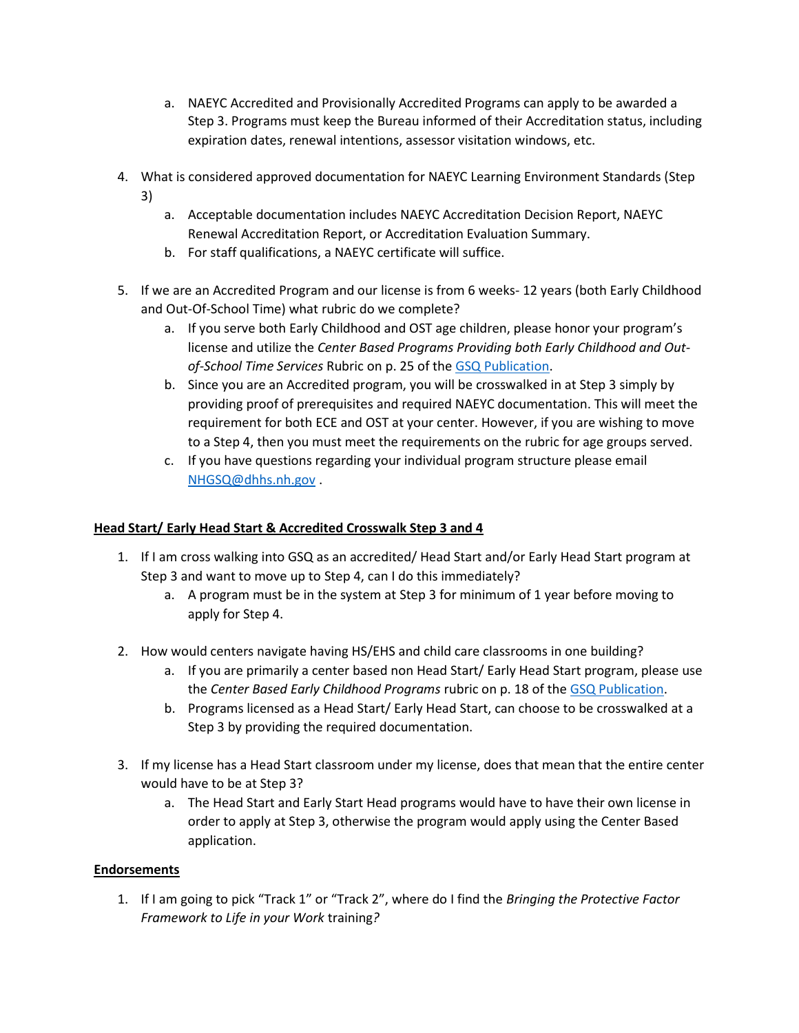- a. NAEYC Accredited and Provisionally Accredited Programs can apply to be awarded a Step 3. Programs must keep the Bureau informed of their Accreditation status, including expiration dates, renewal intentions, assessor visitation windows, etc.
- 4. What is considered approved documentation for NAEYC Learning Environment Standards (Step 3)
	- a. Acceptable documentation includes NAEYC Accreditation Decision Report, NAEYC Renewal Accreditation Report, or Accreditation Evaluation Summary.
	- b. For staff qualifications, a NAEYC certificate will suffice.
- 5. If we are an Accredited Program and our license is from 6 weeks- 12 years (both Early Childhood and Out-Of-School Time) what rubric do we complete?
	- a. If you serve both Early Childhood and OST age children, please honor your program's license and utilize the *Center Based Programs Providing both Early Childhood and Outof-School Time Services* Rubric on p. 25 of the [GSQ Publication.](https://www.nh-connections.org/uploads/GSQ-Guide.pdf)
	- b. Since you are an Accredited program, you will be crosswalked in at Step 3 simply by providing proof of prerequisites and required NAEYC documentation. This will meet the requirement for both ECE and OST at your center. However, if you are wishing to move to a Step 4, then you must meet the requirements on the rubric for age groups served.
	- c. If you have questions regarding your individual program structure please email [NHGSQ@dhhs.nh.gov](mailto:NHGSQ@dhhs.nh.gov) .

# **Head Start/ Early Head Start & Accredited Crosswalk Step 3 and 4**

- 1. If I am cross walking into GSQ as an accredited/ Head Start and/or Early Head Start program at Step 3 and want to move up to Step 4, can I do this immediately?
	- a. A program must be in the system at Step 3 for minimum of 1 year before moving to apply for Step 4.
- 2. How would centers navigate having HS/EHS and child care classrooms in one building?
	- a. If you are primarily a center based non Head Start/ Early Head Start program, please use the *Center Based Early Childhood Programs* rubric on p. 18 of the [GSQ Publication.](https://www.nh-connections.org/uploads/GSQ-Guide.pdf)
	- b. Programs licensed as a Head Start/ Early Head Start, can choose to be crosswalked at a Step 3 by providing the required documentation.
- 3. If my license has a Head Start classroom under my license, does that mean that the entire center would have to be at Step 3?
	- a. The Head Start and Early Start Head programs would have to have their own license in order to apply at Step 3, otherwise the program would apply using the Center Based application.

# **Endorsements**

1. If I am going to pick "Track 1" or "Track 2", where do I find the *Bringing the Protective Factor Framework to Life in your Work* training*?*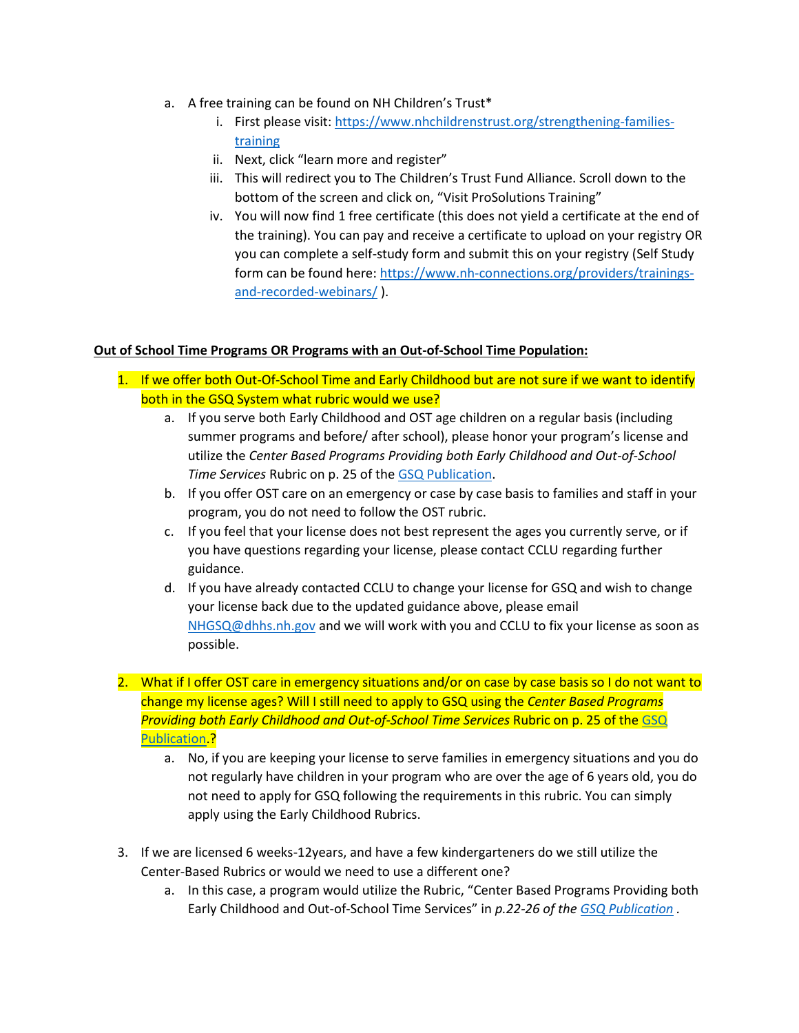- a. A free training can be found on NH Children's Trust\*
	- i. First please visit[: https://www.nhchildrenstrust.org/strengthening-families](https://www.nhchildrenstrust.org/strengthening-families-training)[training](https://www.nhchildrenstrust.org/strengthening-families-training)
	- ii. Next, click "learn more and register"
	- iii. This will redirect you to The Children's Trust Fund Alliance. Scroll down to the bottom of the screen and click on, "Visit ProSolutions Training"
	- iv. You will now find 1 free certificate (this does not yield a certificate at the end of the training). You can pay and receive a certificate to upload on your registry OR you can complete a self-study form and submit this on your registry (Self Study form can be found here: [https://www.nh-connections.org/providers/trainings](https://www.nh-connections.org/providers/trainings-and-recorded-webinars/)[and-recorded-webinars/](https://www.nh-connections.org/providers/trainings-and-recorded-webinars/) ).

#### **Out of School Time Programs OR Programs with an Out-of-School Time Population:**

- 1. If we offer both Out-Of-School Time and Early Childhood but are not sure if we want to identify both in the GSQ System what rubric would we use?
	- a. If you serve both Early Childhood and OST age children on a regular basis (including summer programs and before/ after school), please honor your program's license and utilize the *Center Based Programs Providing both Early Childhood and Out-of-School Time Services* Rubric on p. 25 of the [GSQ Publication.](https://www.nh-connections.org/uploads/GSQ-Guide.pdf)
	- b. If you offer OST care on an emergency or case by case basis to families and staff in your program, you do not need to follow the OST rubric.
	- c. If you feel that your license does not best represent the ages you currently serve, or if you have questions regarding your license, please contact CCLU regarding further guidance.
	- d. If you have already contacted CCLU to change your license for GSQ and wish to change your license back due to the updated guidance above, please email [NHGSQ@dhhs.nh.gov](mailto:NHGSQ@dhhs.nh.gov) and we will work with you and CCLU to fix your license as soon as possible.
- 2. What if I offer OST care in emergency situations and/or on case by case basis so I do not want to change my license ages? Will I still need to apply to GSQ using the *Center Based Programs Providing both Early Childhood and Out-of-School Time Services* Rubric on p. 25 of the [GSQ](https://www.nh-connections.org/uploads/GSQ-Guide.pdf)  [Publication.](https://www.nh-connections.org/uploads/GSQ-Guide.pdf)?
	- a. No, if you are keeping your license to serve families in emergency situations and you do not regularly have children in your program who are over the age of 6 years old, you do not need to apply for GSQ following the requirements in this rubric. You can simply apply using the Early Childhood Rubrics.
- 3. If we are licensed 6 weeks-12years, and have a few kindergarteners do we still utilize the Center-Based Rubrics or would we need to use a different one?
	- a. In this case, a program would utilize the Rubric, "Center Based Programs Providing both Early Childhood and Out-of-School Time Services" in *p.22-26 of th[e GSQ Publication](https://www.nh-connections.org/uploads/GSQ-Guide.pdf) .*